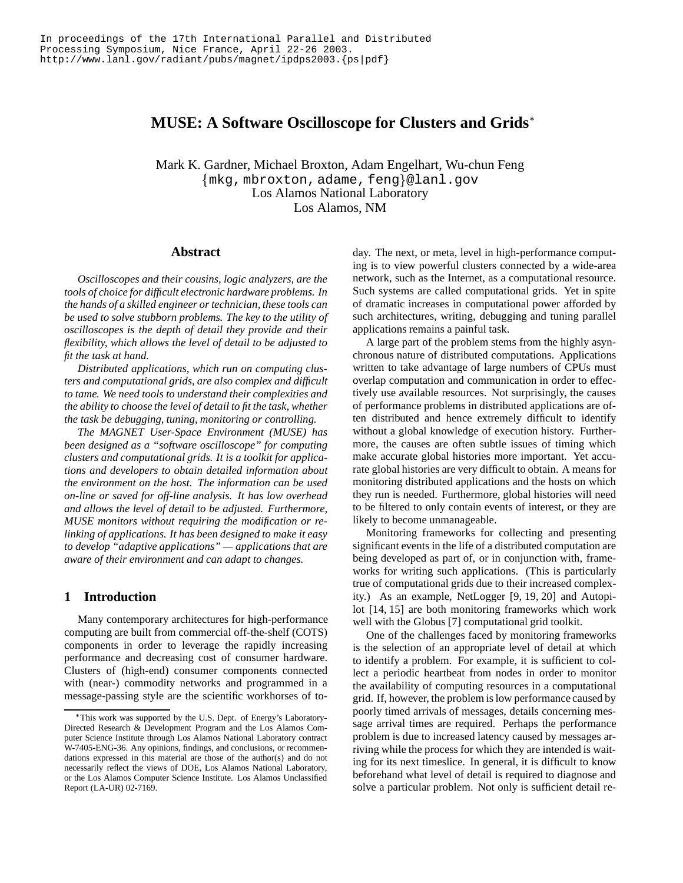# **MUSE: A Software Oscilloscope for Clusters and Grids**

Mark K. Gardner, Michael Broxton, Adam Engelhart, Wu-chun Feng  $\{\mathtt{mkg}$ , $\mathtt{mbroxton}$ , adame, <code>feng</code>}@lanl.gov Los Alamos National Laboratory Los Alamos, NM

### **Abstract**

*Oscilloscopes and their cousins, logic analyzers, are the tools of choice for difficult electronic hardware problems. In the hands of a skilled engineer or technician, these tools can be used to solve stubborn problems. The key to the utility of oscilloscopes is the depth of detail they provide and their flexibility, which allows the level of detail to be adjusted to fit the task at hand.*

*Distributed applications, which run on computing clusters and computational grids, are also complex and difficult to tame. We need tools to understand their complexities and the ability to choose the level of detail to fit the task, whether the task be debugging, tuning, monitoring or controlling.*

*The MAGNET User-Space Environment (MUSE) has been designed as a "software oscilloscope" for computing clusters and computational grids. It is a toolkit for applications and developers to obtain detailed information about the environment on the host. The information can be used on-line or saved for off-line analysis. It has low overhead and allows the level of detail to be adjusted. Furthermore, MUSE monitors without requiring the modification or relinking of applications. It has been designed to make it easy to develop "adaptive applications" — applications that are aware of their environment and can adapt to changes.*

# **1 Introduction**

Many contemporary architectures for high-performance computing are built from commercial off-the-shelf (COTS) components in order to leverage the rapidly increasing performance and decreasing cost of consumer hardware. Clusters of (high-end) consumer components connected with (near-) commodity networks and programmed in a message-passing style are the scientific workhorses of today. The next, or meta, level in high-performance computing is to view powerful clusters connected by a wide-area network, such as the Internet, as a computational resource. Such systems are called computational grids. Yet in spite of dramatic increases in computational power afforded by such architectures, writing, debugging and tuning parallel applications remains a painful task.

A large part of the problem stems from the highly asynchronous nature of distributed computations. Applications written to take advantage of large numbers of CPUs must overlap computation and communication in order to effectively use available resources. Not surprisingly, the causes of performance problems in distributed applications are often distributed and hence extremely difficult to identify without a global knowledge of execution history. Furthermore, the causes are often subtle issues of timing which make accurate global histories more important. Yet accurate global histories are very difficult to obtain. A means for monitoring distributed applications and the hosts on which they run is needed. Furthermore, global histories will need to be filtered to only contain events of interest, or they are likely to become unmanageable.

Monitoring frameworks for collecting and presenting significant events in the life of a distributed computation are being developed as part of, or in conjunction with, frameworks for writing such applications. (This is particularly true of computational grids due to their increased complexity.) As an example, NetLogger [9, 19, 20] and Autopilot [14, 15] are both monitoring frameworks which work well with the Globus [7] computational grid toolkit.

One of the challenges faced by monitoring frameworks is the selection of an appropriate level of detail at which to identify a problem. For example, it is sufficient to collect a periodic heartbeat from nodes in order to monitor the availability of computing resources in a computational grid. If, however, the problem is low performance caused by poorly timed arrivals of messages, details concerning message arrival times are required. Perhaps the performance problem is due to increased latency caused by messages arriving while the process for which they are intended is waiting for its next timeslice. In general, it is difficult to know beforehand what level of detail is required to diagnose and solve a particular problem. Not only is sufficient detail re-

This work was supported by the U.S. Dept. of Energy's Laboratory-Directed Research & Development Program and the Los Alamos Computer Science Institute through Los Alamos National Laboratory contract W-7405-ENG-36. Any opinions, findings, and conclusions, or recommendations expressed in this material are those of the author(s) and do not necessarily reflect the views of DOE, Los Alamos National Laboratory, or the Los Alamos Computer Science Institute. Los Alamos Unclassified Report (LA-UR) 02-7169.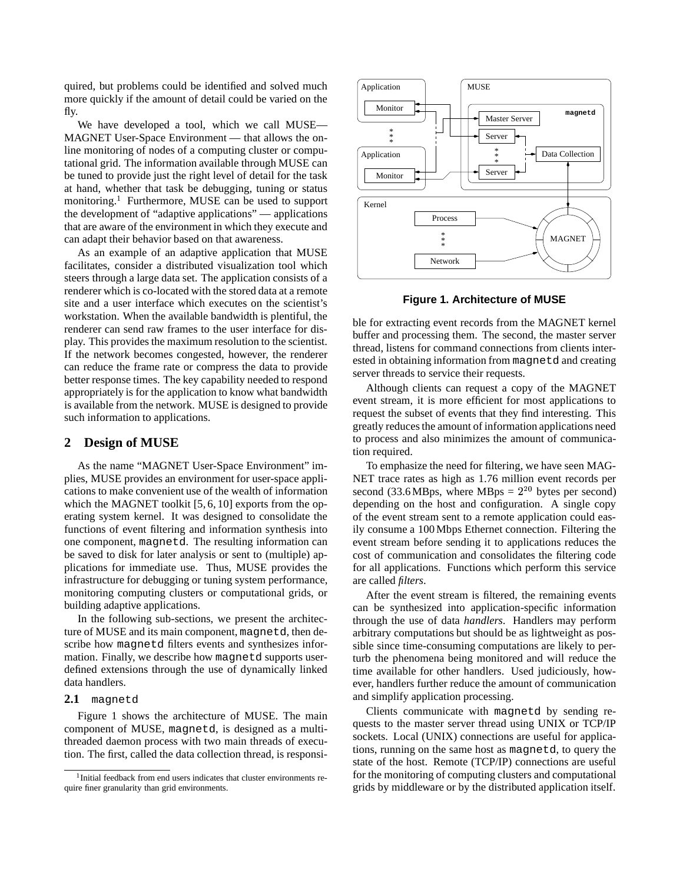quired, but problems could be identified and solved much more quickly if the amount of detail could be varied on the fly.

We have developed a tool, which we call MUSE— MAGNET User-Space Environment — that allows the online monitoring of nodes of a computing cluster or computational grid. The information available through MUSE can be tuned to provide just the right level of detail for the task at hand, whether that task be debugging, tuning or status monitoring.<sup>1</sup> Furthermore, MUSE can be used to support the development of "adaptive applications" — applications that are aware of the environment in which they execute and can adapt their behavior based on that awareness.

As an example of an adaptive application that MUSE facilitates, consider a distributed visualization tool which steers through a large data set. The application consists of a renderer which is co-located with the stored data at a remote site and a user interface which executes on the scientist's workstation. When the available bandwidth is plentiful, the renderer can send raw frames to the user interface for display. This provides the maximum resolution to the scientist. If the network becomes congested, however, the renderer can reduce the frame rate or compress the data to provide better response times. The key capability needed to respond appropriately is for the application to know what bandwidth is available from the network. MUSE is designed to provide such information to applications.

# **2 Design of MUSE**

As the name "MAGNET User-Space Environment" implies, MUSE provides an environment for user-space applications to make convenient use of the wealth of information which the MAGNET toolkit [5, 6, 10] exports from the operating system kernel. It was designed to consolidate the functions of event filtering and information synthesis into one component, magnetd. The resulting information can be saved to disk for later analysis or sent to (multiple) applications for immediate use. Thus, MUSE provides the infrastructure for debugging or tuning system performance, monitoring computing clusters or computational grids, or building adaptive applications.

In the following sub-sections, we present the architecture of MUSE and its main component, magnetd, then describe how magnetd filters events and synthesizes information. Finally, we describe how magnetd supports userdefined extensions through the use of dynamically linked data handlers.

#### **2.1** magnetd

Figure 1 shows the architecture of MUSE. The main component of MUSE, magnetd, is designed as a multithreaded daemon process with two main threads of execution. The first, called the data collection thread, is responsi-



**Figure 1. Architecture of MUSE**

ble for extracting event records from the MAGNET kernel buffer and processing them. The second, the master server thread, listens for command connections from clients interested in obtaining information from magnetd and creating server threads to service their requests.

Although clients can request a copy of the MAGNET event stream, it is more efficient for most applications to request the subset of events that they find interesting. This greatly reducesthe amount of information applications need to process and also minimizes the amount of communication required.

To emphasize the need for filtering, we have seen MAG-NET trace rates as high as 1.76 million event records per second (33.6 MBps, where MBps =  $2^{20}$  bytes per second) depending on the host and configuration. A single copy of the event stream sent to a remote application could easily consume a 100Mbps Ethernet connection. Filtering the event stream before sending it to applications reduces the cost of communication and consolidates the filtering code for all applications. Functions which perform this service are called *filters*.

After the event stream is filtered, the remaining events can be synthesized into application-specific information through the use of data *handlers*. Handlers may perform arbitrary computations but should be as lightweight as possible since time-consuming computations are likely to perturb the phenomena being monitored and will reduce the time available for other handlers. Used judiciously, however, handlers further reduce the amount of communication and simplify application processing.

Clients communicate with magnetd by sending requests to the master server thread using UNIX or TCP/IP sockets. Local (UNIX) connections are useful for applications, running on the same host as magnetd, to query the state of the host. Remote (TCP/IP) connections are useful for the monitoring of computing clusters and computational grids by middleware or by the distributed application itself.

<sup>&</sup>lt;sup>1</sup>Initial feedback from end users indicates that cluster environments require finer granularity than grid environments.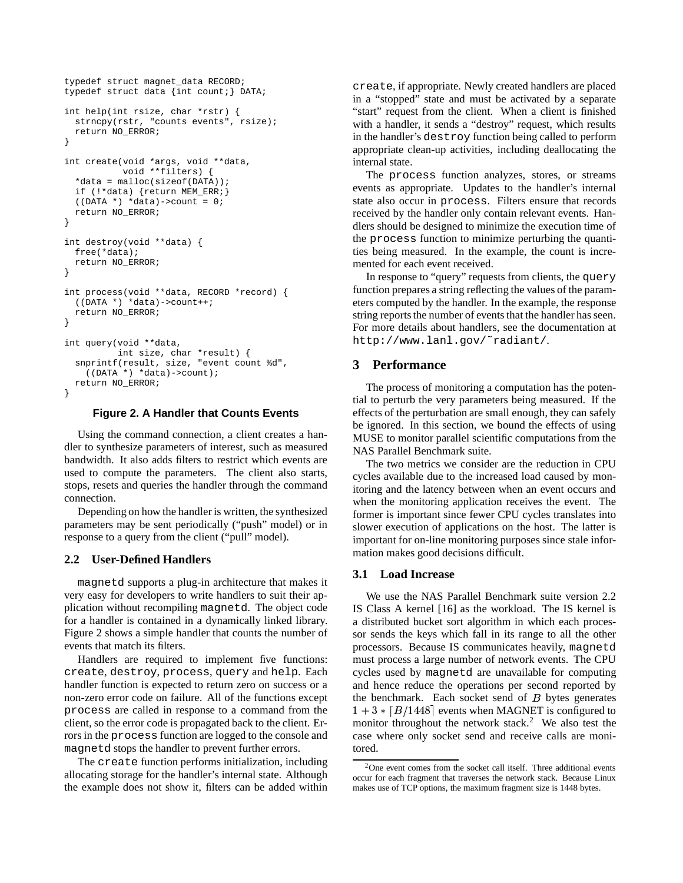```
typedef struct magnet_data RECORD;
typedef struct data {int count;} DATA;
int help(int rsize, char *rstr) {
 strncpy(rstr, "counts events", rsize);
  return NO_ERROR;
}
int create(void *args, void **data,
           void **filters) {
  *data = malloc(sizeof(DATA));
 if (!*data) {return MEM_ERR;}
  ( (DATA *) *data) ->count = 0;
 return NO_ERROR;
}
int destroy(void **data) {
  free(*data);
 return NO_ERROR;
}
int process(void **data, RECORD *record) {
  ( (DATA *) *data) ->count++;
 return NO_ERROR;
}
int query(void **data,
          int size, char *result) {
  snprintf(result, size, "event count %d",
    ( (DATA *) *data) ->count);
 return NO_ERROR;
}
```
#### **Figure 2. A Handler that Counts Events**

Using the command connection, a client creates a handler to synthesize parameters of interest, such as measured bandwidth. It also adds filters to restrict which events are used to compute the parameters. The client also starts, stops, resets and queries the handler through the command connection.

Depending on how the handler is written, the synthesized parameters may be sent periodically ("push" model) or in response to a query from the client ("pull" model).

### **2.2 User-Defined Handlers**

magnetd supports a plug-in architecture that makes it very easy for developers to write handlers to suit their application without recompiling magnetd. The object code for a handler is contained in a dynamically linked library. Figure 2 shows a simple handler that counts the number of events that match its filters.

Handlers are required to implement five functions: create, destroy, process, query and help. Each handler function is expected to return zero on success or a non-zero error code on failure. All of the functions except process are called in response to a command from the client, so the error code is propagated back to the client. Errors in the process function are logged to the console and magnetd stops the handler to prevent further errors.

The create function performs initialization, including allocating storage for the handler's internal state. Although the example does not show it, filters can be added within create, if appropriate. Newly created handlers are placed in a "stopped" state and must be activated by a separate "start" request from the client. When a client is finished with a handler, it sends a "destroy" request, which results in the handler's destroy function being called to perform appropriate clean-up activities, including deallocating the internal state.

The process function analyzes, stores, or streams events as appropriate. Updates to the handler's internal state also occur in process. Filters ensure that records received by the handler only contain relevant events. Handlers should be designed to minimize the execution time of the process function to minimize perturbing the quantities being measured. In the example, the count is incremented for each event received.

In response to "query" requests from clients, the query function prepares a string reflecting the values of the parameters computed by the handler. In the example, the response string reports the number of events that the handler has seen. For more details about handlers, see the documentation at http://www.lanl.gov/˜radiant/.

## **3 Performance**

The process of monitoring a computation has the potential to perturb the very parameters being measured. If the effects of the perturbation are small enough, they can safely be ignored. In this section, we bound the effects of using MUSE to monitor parallel scientific computations from the NAS Parallel Benchmark suite.

The two metrics we consider are the reduction in CPU cycles available due to the increased load caused by monitoring and the latency between when an event occurs and when the monitoring application receives the event. The former is important since fewer CPU cycles translates into slower execution of applications on the host. The latter is important for on-line monitoring purposes since stale information makes good decisions difficult.

### **3.1 Load Increase**

We use the NAS Parallel Benchmark suite version 2.2 IS Class A kernel [16] as the workload. The IS kernel is a distributed bucket sort algorithm in which each processor sends the keys which fall in its range to all the other processors. Because IS communicates heavily, magnetd must process a large number of network events. The CPU cycles used by magnetd are unavailable for computing and hence reduce the operations per second reported by the benchmark. Each socket send of  $B$  bytes generates  $1 + 3 * [B/1448]$  events when MAGNET is configured to monitor throughout the network stack.<sup>2</sup> We also test the case where only socket send and receive calls are monitored.

<sup>2</sup>One event comes from the socket call itself. Three additional events occur for each fragment that traverses the network stack. Because Linux makes use of TCP options, the maximum fragment size is 1448 bytes.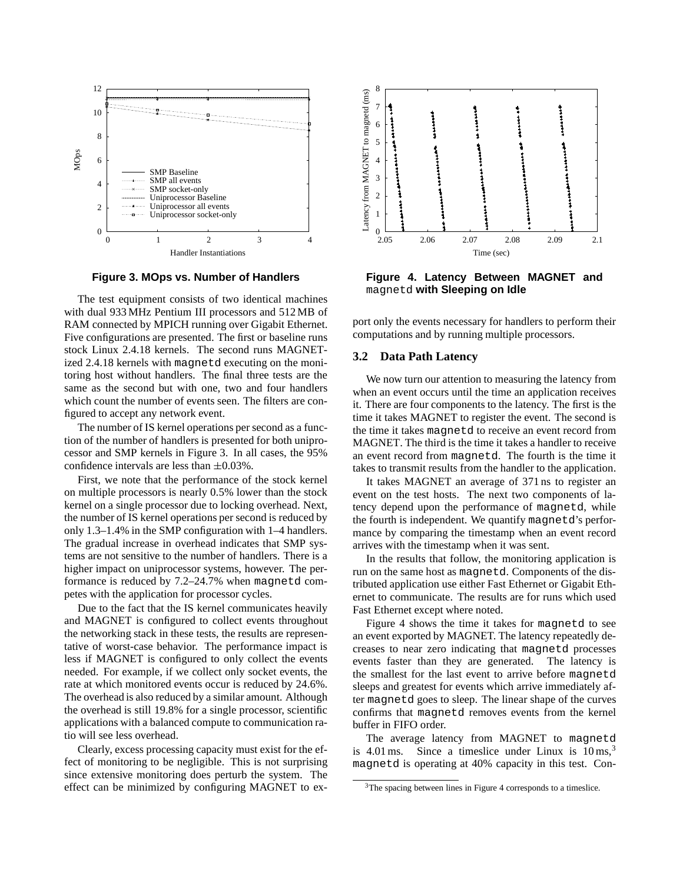

**Figure 3. MOps vs. Number of Handlers**

The test equipment consists of two identical machines with dual 933 MHz Pentium III processors and 512MB of RAM connected by MPICH running over Gigabit Ethernet. Five configurations are presented. The first or baseline runs stock Linux 2.4.18 kernels. The second runs MAGNETized 2.4.18 kernels with magnetd executing on the monitoring host without handlers. The final three tests are the same as the second but with one, two and four handlers which count the number of events seen. The filters are configured to accept any network event.

The number of IS kernel operations per second as a function of the number of handlers is presented for both uniprocessor and SMP kernels in Figure 3. In all cases, the 95% confidence intervals are less than  $\pm 0.03\%$ .

First, we note that the performance of the stock kernel on multiple processors is nearly 0.5% lower than the stock kernel on a single processor due to locking overhead. Next, the number of IS kernel operations per second is reduced by only 1.3–1.4% in the SMP configuration with 1–4 handlers. The gradual increase in overhead indicates that SMP systems are not sensitive to the number of handlers. There is a higher impact on uniprocessor systems, however. The performance is reduced by 7.2–24.7% when magnetd competes with the application for processor cycles.

Due to the fact that the IS kernel communicates heavily and MAGNET is configured to collect events throughout the networking stack in these tests, the results are representative of worst-case behavior. The performance impact is less if MAGNET is configured to only collect the events needed. For example, if we collect only socket events, the rate at which monitored events occur is reduced by 24.6%. The overhead is also reduced by a similar amount. Although the overhead is still 19.8% for a single processor, scientific applications with a balanced compute to communication ratio will see less overhead.

Clearly, excess processing capacity must exist for the effect of monitoring to be negligible. This is not surprising since extensive monitoring does perturb the system. The effect can be minimized by configuring MAGNET to ex-



**Figure 4. Latency Between MAGNET and** magnetd **with Sleeping on Idle**

port only the events necessary for handlers to perform their computations and by running multiple processors.

### **3.2 Data Path Latency**

We now turn our attention to measuring the latency from when an event occurs until the time an application receives it. There are four components to the latency. The first is the time it takes MAGNET to register the event. The second is the time it takes magnetd to receive an event record from MAGNET. The third is the time it takes a handler to receive an event record from magnetd. The fourth is the time it takes to transmit results from the handler to the application.

It takes MAGNET an average of 371 ns to register an event on the test hosts. The next two components of latency depend upon the performance of magnetd, while the fourth is independent. We quantify magnetd's performance by comparing the timestamp when an event record arrives with the timestamp when it was sent.

In the results that follow, the monitoring application is run on the same host as magnetd. Components of the distributed application use either Fast Ethernet or Gigabit Ethernet to communicate. The results are for runs which used Fast Ethernet except where noted.

Figure 4 shows the time it takes for magnetd to see an event exported by MAGNET. The latency repeatedly decreases to near zero indicating that magnetd processes events faster than they are generated. The latency is the smallest for the last event to arrive before magnetd sleeps and greatest for events which arrive immediately after magnetd goes to sleep. The linear shape of the curves confirms that magnetd removes events from the kernel buffer in FIFO order.

The average latency from MAGNET to magnetd is 4.01 ms. Since a timeslice under Linux is  $10 \text{ ms}^3$ , magnetd is operating at 40% capacity in this test. Con-

<sup>3</sup>The spacing between lines in Figure 4 corresponds to a timeslice.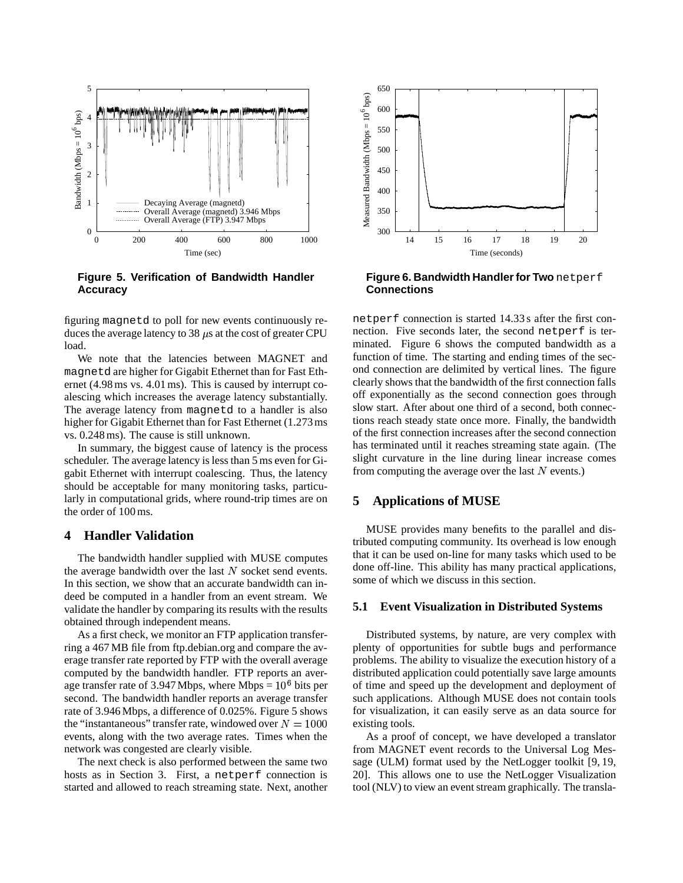

**Figure 5. Verification of Bandwidth Handler Accuracy**

figuring magnetd to poll for new events continuously reduces the average latency to 38  $\mu$ s at the cost of greater CPU load.

We note that the latencies between MAGNET and magnetd are higher for Gigabit Ethernet than for Fast Ethernet (4.98ms vs. 4.01ms). This is caused by interrupt coalescing which increases the average latency substantially. The average latency from magnetd to a handler is also higher for Gigabit Ethernet than for Fast Ethernet (1.273ms vs. 0.248ms). The cause is still unknown.

In summary, the biggest cause of latency is the process scheduler. The average latency is less than 5 ms even for Gigabit Ethernet with interrupt coalescing. Thus, the latency should be acceptable for many monitoring tasks, particularly in computational grids, where round-trip times are on the order of 100ms.

# **4 Handler Validation**

The bandwidth handler supplied with MUSE computes the average bandwidth over the last  $N$  socket send events. In this section, we show that an accurate bandwidth can indeed be computed in a handler from an event stream. We validate the handler by comparing its results with the results obtained through independent means.

As a first check, we monitor an FTP application transferring a 467 MB file from ftp.debian.org and compare the average transfer rate reported by FTP with the overall average computed by the bandwidth handler. FTP reports an average transfer rate of 3.947 Mbps, where Mbps =  $10^6$  bits per second. The bandwidth handler reports an average transfer rate of 3.946Mbps, a difference of 0.025%. Figure 5 shows the "instantaneous" transfer rate, windowed over  $N = 1000$  exist events, along with the two average rates. Times when the network was congested are clearly visible.

The next check is also performed between the same two hosts as in Section 3. First, a netperf connection is started and allowed to reach streaming state. Next, another



**Figure 6. Bandwidth Handler for Two** netperf **Connections**

netperf connection is started 14.33 s after the first connection. Five seconds later, the second netperf is terminated. Figure 6 shows the computed bandwidth as a function of time. The starting and ending times of the second connection are delimited by vertical lines. The figure clearly shows that the bandwidth of the first connection falls off exponentially as the second connection goes through slow start. After about one third of a second, both connections reach steady state once more. Finally, the bandwidth of the first connection increases after the second connection has terminated until it reaches streaming state again. (The slight curvature in the line during linear increase comes from computing the average over the last  $N$  events.)

# **5 Applications of MUSE**

MUSE provides many benefits to the parallel and distributed computing community. Its overhead is low enough that it can be used on-line for many tasks which used to be done off-line. This ability has many practical applications, some of which we discuss in this section.

# **5.1 Event Visualization in Distributed Systems**

 existing tools. Distributed systems, by nature, are very complex with plenty of opportunities for subtle bugs and performance problems. The ability to visualize the execution history of a distributed application could potentially save large amounts of time and speed up the development and deployment of such applications. Although MUSE does not contain tools for visualization, it can easily serve as an data source for

As a proof of concept, we have developed a translator from MAGNET event records to the Universal Log Message (ULM) format used by the NetLogger toolkit [9, 19, 20]. This allows one to use the NetLogger Visualization tool (NLV) to view an event stream graphically. The transla-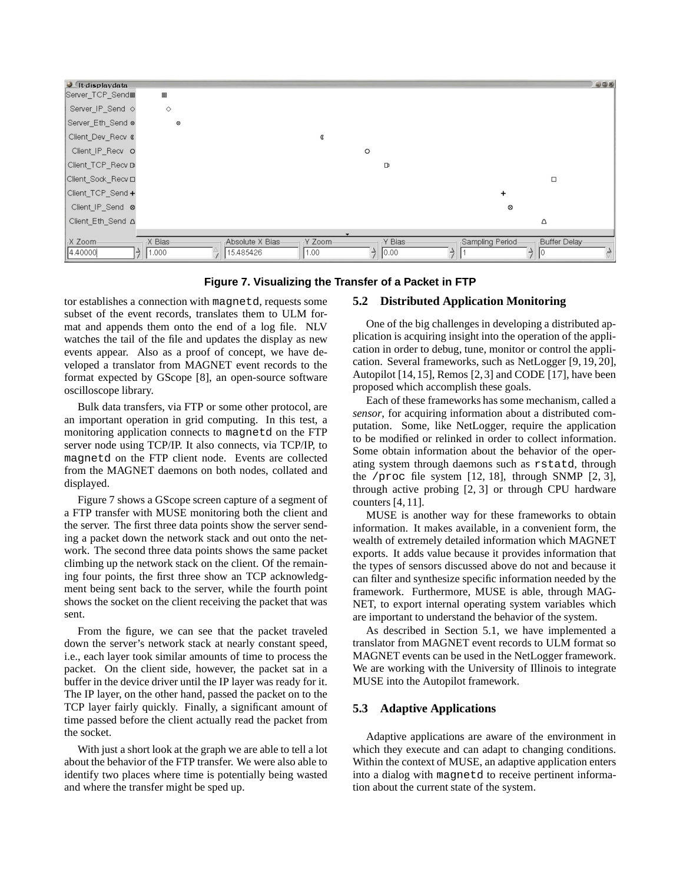| $\bullet$ (It-displaydata    |                  |                               |                 |                        | $-08$                             |
|------------------------------|------------------|-------------------------------|-----------------|------------------------|-----------------------------------|
| Server_TCP_Send <sup>®</sup> | $\square$        |                               |                 |                        |                                   |
| Server IP Send $\diamond$    | $\Diamond$       |                               |                 |                        |                                   |
| Server_Eth_Send ®            | $_{\odot}$       |                               |                 |                        |                                   |
| Client Dev Recv &            |                  |                               | €               |                        |                                   |
| Client_IP_Recv_o             |                  |                               |                 | $\circ$                |                                   |
| Client_TCP_Recv D            |                  |                               |                 | D                      |                                   |
| Client Sock Recv D           |                  |                               |                 |                        | $\Box$                            |
| Client TCP Send +            |                  |                               |                 |                        | +                                 |
| Client IP Send ⊗             |                  |                               |                 |                        | ⊗                                 |
| Client Eth Send △            |                  |                               |                 |                        | Δ                                 |
| -X Zoom-<br>  4.40000        | X Bias-<br>1.000 | Absolute X Bias-<br>15.485426 | Y Zoom-<br>1.00 | Y Bias-<br> 0.00 <br>⇒ | Sampling Period-<br>Buffer Delay- |



tor establishes a connection with magnetd, requests some subset of the event records, translates them to ULM format and appends them onto the end of a log file. NLV watches the tail of the file and updates the display as new events appear. Also as a proof of concept, we have developed a translator from MAGNET event records to the format expected by GScope [8], an open-source software oscilloscope library.

Bulk data transfers, via FTP or some other protocol, are an important operation in grid computing. In this test, a monitoring application connects to magnetd on the FTP server node using TCP/IP. It also connects, via TCP/IP, to magnetd on the FTP client node. Events are collected from the MAGNET daemons on both nodes, collated and displayed.

Figure 7 shows a GScope screen capture of a segment of a FTP transfer with MUSE monitoring both the client and the server. The first three data points show the server sending a packet down the network stack and out onto the network. The second three data points shows the same packet climbing up the network stack on the client. Of the remaining four points, the first three show an TCP acknowledgment being sent back to the server, while the fourth point shows the socket on the client receiving the packet that was sent.

From the figure, we can see that the packet traveled down the server's network stack at nearly constant speed, i.e., each layer took similar amounts of time to process the packet. On the client side, however, the packet sat in a buffer in the device driver until the IP layer was ready for it. The IP layer, on the other hand, passed the packet on to the TCP layer fairly quickly. Finally, a significant amount of time passed before the client actually read the packet from the socket.

With just a short look at the graph we are able to tell a lot about the behavior of the FTP transfer. We were also able to identify two places where time is potentially being wasted and where the transfer might be sped up.

# **5.2 Distributed Application Monitoring**

One of the big challenges in developing a distributed application is acquiring insight into the operation of the application in order to debug, tune, monitor or control the application. Several frameworks, such as NetLogger [9, 19, 20], Autopilot [14,15], Remos [2,3] and CODE [17], have been proposed which accomplish these goals.

Each of these frameworks has some mechanism, called a *sensor*, for acquiring information about a distributed computation. Some, like NetLogger, require the application to be modified or relinked in order to collect information. Some obtain information about the behavior of the operating system through daemons such as rstatd, through the /proc file system  $[12, 18]$ , through SNMP  $[2, 3]$ , through active probing [2, 3] or through CPU hardware counters [4, 11].

MUSE is another way for these frameworks to obtain information. It makes available, in a convenient form, the wealth of extremely detailed information which MAGNET exports. It adds value because it provides information that the types of sensors discussed above do not and because it can filter and synthesize specific information needed by the framework. Furthermore, MUSE is able, through MAG-NET, to export internal operating system variables which are important to understand the behavior of the system.

As described in Section 5.1, we have implemented a translator from MAGNET event records to ULM format so MAGNET events can be used in the NetLogger framework. We are working with the University of Illinois to integrate MUSE into the Autopilot framework.

## **5.3 Adaptive Applications**

Adaptive applications are aware of the environment in which they execute and can adapt to changing conditions. Within the context of MUSE, an adaptive application enters into a dialog with magnetd to receive pertinent information about the current state of the system.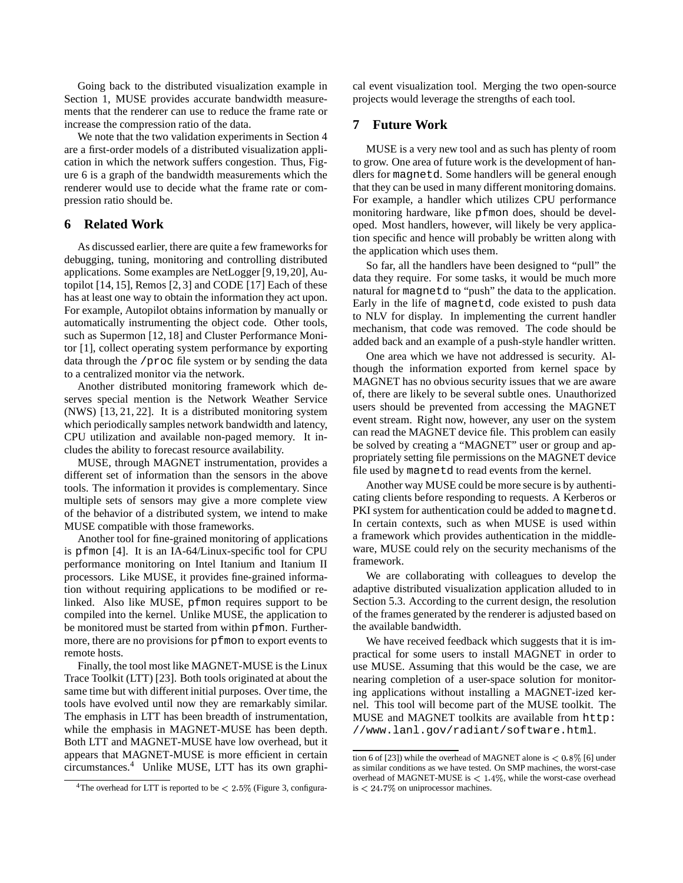Going back to the distributed visualization example in Section 1, MUSE provides accurate bandwidth measurements that the renderer can use to reduce the frame rate or increase the compression ratio of the data.

We note that the two validation experiments in Section 4 are a first-order models of a distributed visualization application in which the network suffers congestion. Thus, Figure 6 is a graph of the bandwidth measurements which the renderer would use to decide what the frame rate or compression ratio should be.

# **6 Related Work**

As discussed earlier, there are quite a few frameworks for debugging, tuning, monitoring and controlling distributed applications. Some examples are NetLogger [9,19,20], Autopilot [14, 15], Remos [2, 3] and CODE [17] Each of these has at least one way to obtain the information they act upon. For example, Autopilot obtains information by manually or automatically instrumenting the object code. Other tools, such as Supermon [12, 18] and Cluster Performance Monitor [1], collect operating system performance by exporting data through the /proc file system or by sending the data to a centralized monitor via the network.

Another distributed monitoring framework which deserves special mention is the Network Weather Service (NWS) [13, 21, 22]. It is a distributed monitoring system which periodically samples network bandwidth and latency, CPU utilization and available non-paged memory. It includes the ability to forecast resource availability.

MUSE, through MAGNET instrumentation, provides a different set of information than the sensors in the above tools. The information it provides is complementary. Since multiple sets of sensors may give a more complete view of the behavior of a distributed system, we intend to make MUSE compatible with those frameworks.

Another tool for fine-grained monitoring of applications is pfmon [4]. It is an IA-64/Linux-specific tool for CPU performance monitoring on Intel Itanium and Itanium II processors. Like MUSE, it provides fine-grained information without requiring applications to be modified or relinked. Also like MUSE, pfmon requires support to be compiled into the kernel. Unlike MUSE, the application to be monitored must be started from within pfmon. Furthermore, there are no provisions for pfmon to export events to remote hosts.

Finally, the tool most like MAGNET-MUSE is the Linux Trace Toolkit (LTT) [23]. Both tools originated at about the same time but with different initial purposes. Over time, the tools have evolved until now they are remarkably similar. The emphasis in LTT has been breadth of instrumentation, while the emphasis in MAGNET-MUSE has been depth. Both LTT and MAGNET-MUSE have low overhead, but it appears that MAGNET-MUSE is more efficient in certain circumstances.<sup>4</sup> Unlike MUSE, LTT has its own graphical event visualization tool. Merging the two open-source projects would leverage the strengths of each tool.

# **7 Future Work**

MUSE is a very new tool and as such has plenty of room to grow. One area of future work is the development of handlers for magnetd. Some handlers will be general enough that they can be used in many different monitoring domains. For example, a handler which utilizes CPU performance monitoring hardware, like pfmon does, should be developed. Most handlers, however, will likely be very application specific and hence will probably be written along with the application which uses them.

So far, all the handlers have been designed to "pull" the data they require. For some tasks, it would be much more natural for magnetd to "push" the data to the application. Early in the life of magnetd, code existed to push data to NLV for display. In implementing the current handler mechanism, that code was removed. The code should be added back and an example of a push-style handler written.

One area which we have not addressed is security. Although the information exported from kernel space by MAGNET has no obvious security issues that we are aware of, there are likely to be several subtle ones. Unauthorized users should be prevented from accessing the MAGNET event stream. Right now, however, any user on the system can read the MAGNET device file. This problem can easily be solved by creating a "MAGNET" user or group and appropriately setting file permissions on the MAGNET device file used by magnetd to read events from the kernel.

Another way MUSE could be more secure is by authenticating clients before responding to requests. A Kerberos or PKI system for authentication could be added to magnetd. In certain contexts, such as when MUSE is used within a framework which provides authentication in the middleware, MUSE could rely on the security mechanisms of the framework.

We are collaborating with colleagues to develop the adaptive distributed visualization application alluded to in Section 5.3. According to the current design, the resolution of the frames generated by the renderer is adjusted based on the available bandwidth.

We have received feedback which suggests that it is impractical for some users to install MAGNET in order to use MUSE. Assuming that this would be the case, we are nearing completion of a user-space solution for monitoring applications without installing a MAGNET-ized kernel. This tool will become part of the MUSE toolkit. The MUSE and MAGNET toolkits are available from http: //www.lanl.gov/radiant/software.html.

<sup>&</sup>lt;sup>4</sup>The overhead for LTT is reported to be  $\langle 2.5\%$  (Figure 3, configura-

tion 6 of [23]) while the overhead of MAGNET alone is  $< 0.8\%$  [6] under as similar conditions as we have tested. On SMP machines, the worst-case overhead of MAGNET-MUSE is  $< 1.4\%$ , while the worst-case overhead is  $< 24.7\%$  on uniprocessor machines.